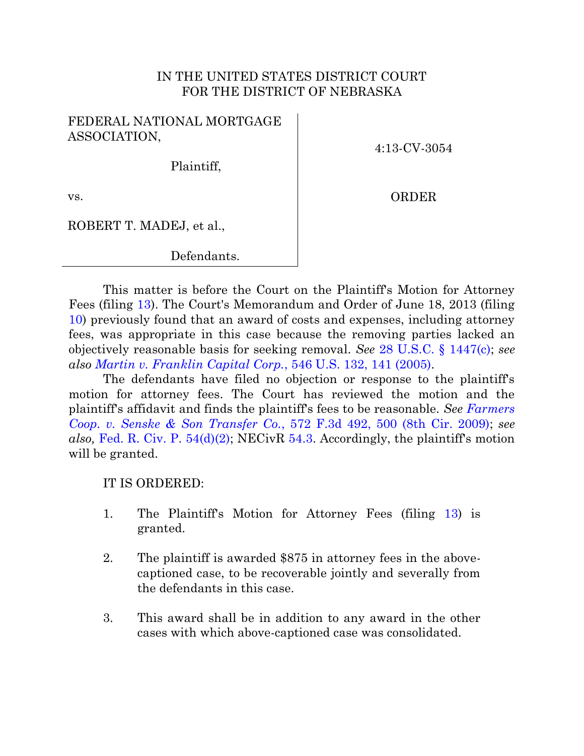## IN THE UNITED STATES DISTRICT COURT FOR THE DISTRICT OF NEBRASKA

## FEDERAL NATIONAL MORTGAGE ASSOCIATION,

4:13-CV-3054

Plaintiff,

ORDER

vs.

ROBERT T. MADEJ, et al.,

Defendants.

This matter is before the Court on the Plaintiff's Motion for Attorney Fees (filing [13\)](https://ecf.ned.uscourts.gov/doc1/11302818393). The Court's Memorandum and Order of June 18, 2013 (filing [10\)](https://ecf.ned.uscourts.gov/doc1/11312807434) previously found that an award of costs and expenses, including attorney fees, was appropriate in this case because the removing parties lacked an objectively reasonable basis for seeking removal. *See* [28 U.S.C. § 1447\(c\);](http://westlaw.com/find/default.wl?ft=L&docname=28USCAS1447&rs=btil2.0&rp=%2ffind%2fdefault.wl&fn=_top&findtype=L&vr=2.0&db=1000546&wbtoolsId=28USCAS1447&HistoryType=F) *see also [Martin v. Franklin Capital Corp.](http://westlaw.com/find/default.wl?ft=Y&referencepositiontype=S&rs=btil2.0&rp=%2ffind%2fdefault.wl&serialnum=2007830082&fn=_top&referenceposition=141&findtype=Y&vr=2.0&db=0000780&wbtoolsId=2007830082&HistoryType=F)*, 546 U.S. 132, 141 (2005).

The defendants have filed no objection or response to the plaintiff's motion for attorney fees. The Court has reviewed the motion and the plaintiff's affidavit and finds the plaintiff's fees to be reasonable. *See [Farmers](http://westlaw.com/find/default.wl?ft=Y&db=0000506&rs=btil2.0&rp=%2ffind%2fdefault.wl&serialnum=2019362850&fn=_top&findtype=Y&vr=2.0&wbtoolsId=2019362850&HistoryType=F)  [Coop. v. Senske & Son Transfer Co.](http://westlaw.com/find/default.wl?ft=Y&db=0000506&rs=btil2.0&rp=%2ffind%2fdefault.wl&serialnum=2019362850&fn=_top&findtype=Y&vr=2.0&wbtoolsId=2019362850&HistoryType=F)*, 572 F.3d 492, 500 (8th Cir. 2009); *see also,* [Fed. R. Civ. P. 54\(d\)\(2\);](http://westlaw.com/find/default.wl?ft=L&docname=USFRCPR54&rs=btil2.0&rp=%2ffind%2fdefault.wl&fn=_top&findtype=L&vr=2.0&db=1000600&wbtoolsId=USFRCPR54&HistoryType=F) NECivR [54.3.](http://www.ned.uscourts.gov/localrules/rules12/NECivR/54.3.pdf) Accordingly, the plaintiff's motion will be granted.

IT IS ORDERED:

- 1. The Plaintiff's Motion for Attorney Fees (filing [13\)](https://ecf.ned.uscourts.gov/doc1/11302818393) is granted.
- 2. The plaintiff is awarded \$875 in attorney fees in the abovecaptioned case, to be recoverable jointly and severally from the defendants in this case.
- 3. This award shall be in addition to any award in the other cases with which above-captioned case was consolidated.